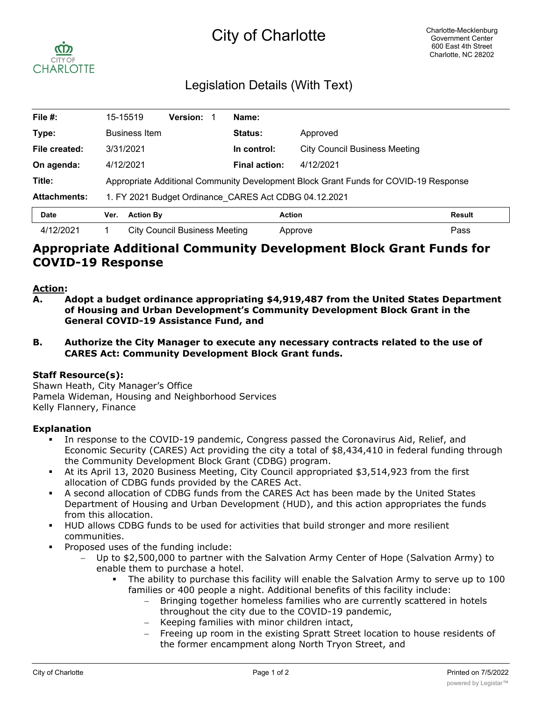# City of Charlotte



# Legislation Details (With Text)

| File #:             | 15-15519                                                                             | <b>Version:</b>               | Name:                |                                      |        |
|---------------------|--------------------------------------------------------------------------------------|-------------------------------|----------------------|--------------------------------------|--------|
| Type:               | <b>Business Item</b>                                                                 |                               | <b>Status:</b>       | Approved                             |        |
| File created:       | 3/31/2021                                                                            |                               | In control:          | <b>City Council Business Meeting</b> |        |
| On agenda:          | 4/12/2021                                                                            |                               | <b>Final action:</b> | 4/12/2021                            |        |
| Title:              | Appropriate Additional Community Development Block Grant Funds for COVID-19 Response |                               |                      |                                      |        |
| <b>Attachments:</b> | 1. FY 2021 Budget Ordinance CARES Act CDBG 04.12.2021                                |                               |                      |                                      |        |
| <b>Date</b>         | <b>Action By</b><br>Ver.                                                             |                               |                      | <b>Action</b>                        | Result |
| 4/12/2021           |                                                                                      | City Council Business Meeting |                      | Approve                              | Pass   |

## **Appropriate Additional Community Development Block Grant Funds for COVID-19 Response**

#### **Action:**

- **A. Adopt a budget ordinance appropriating \$4,919,487 from the United States Department of Housing and Urban Development's Community Development Block Grant in the General COVID-19 Assistance Fund, and**
- **B. Authorize the City Manager to execute any necessary contracts related to the use of CARES Act: Community Development Block Grant funds.**

#### **Staff Resource(s):**

Shawn Heath, City Manager's Office Pamela Wideman, Housing and Neighborhood Services Kelly Flannery, Finance

#### **Explanation**

- In response to the COVID-19 pandemic, Congress passed the Coronavirus Aid, Relief, and Economic Security (CARES) Act providing the city a total of \$8,434,410 in federal funding through the Community Development Block Grant (CDBG) program.
- § At its April 13, 2020 Business Meeting, City Council appropriated \$3,514,923 from the first allocation of CDBG funds provided by the CARES Act.
- § A second allocation of CDBG funds from the CARES Act has been made by the United States Department of Housing and Urban Development (HUD), and this action appropriates the funds from this allocation.
- **HUD allows CDBG funds to be used for activities that build stronger and more resilient** communities.
- § Proposed uses of the funding include:
	- Up to \$2,500,000 to partner with the Salvation Army Center of Hope (Salvation Army) to enable them to purchase a hotel.
		- The ability to purchase this facility will enable the Salvation Army to serve up to 100 families or 400 people a night. Additional benefits of this facility include:
			- Bringing together homeless families who are currently scattered in hotels throughout the city due to the COVID-19 pandemic,
			- Keeping families with minor children intact,
			- Freeing up room in the existing Spratt Street location to house residents of the former encampment along North Tryon Street, and